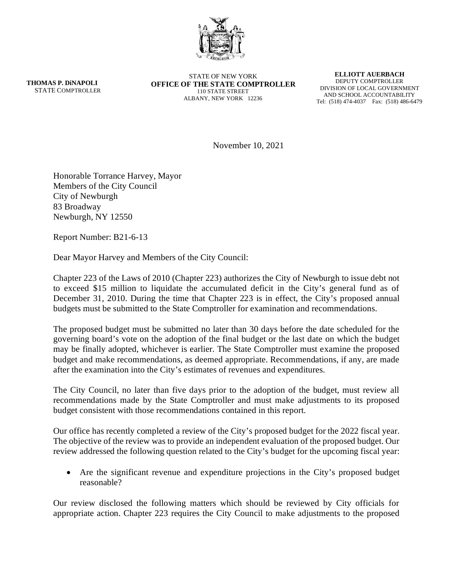

**THOMAS P. DiNAPOLI** STATE COMPTROLLER

STATE OF NEW YORK **OFFICE OF THE STATE COMPTROLLER** 110 STATE STREET ALBANY, NEW YORK 12236

**ELLIOTT AUERBACH** DEPUTY COMPTROLLER DIVISION OF LOCAL GOVERNMENT AND SCHOOL ACCOUNTABILITY Tel: (518) 474-4037 Fax: (518) 486-6479

November 10, 2021

Honorable Torrance Harvey, Mayor Members of the City Council City of Newburgh 83 Broadway Newburgh, NY 12550

Report Number: B21-6-13

Dear Mayor Harvey and Members of the City Council:

Chapter 223 of the Laws of 2010 (Chapter 223) authorizes the City of Newburgh to issue debt not to exceed \$15 million to liquidate the accumulated deficit in the City's general fund as of December 31, 2010. During the time that Chapter 223 is in effect, the City's proposed annual budgets must be submitted to the State Comptroller for examination and recommendations.

The proposed budget must be submitted no later than 30 days before the date scheduled for the governing board's vote on the adoption of the final budget or the last date on which the budget may be finally adopted, whichever is earlier. The State Comptroller must examine the proposed budget and make recommendations, as deemed appropriate. Recommendations, if any, are made after the examination into the City's estimates of revenues and expenditures.

The City Council, no later than five days prior to the adoption of the budget, must review all recommendations made by the State Comptroller and must make adjustments to its proposed budget consistent with those recommendations contained in this report.

Our office has recently completed a review of the City's proposed budget for the 2022 fiscal year. The objective of the review was to provide an independent evaluation of the proposed budget. Our review addressed the following question related to the City's budget for the upcoming fiscal year:

• Are the significant revenue and expenditure projections in the City's proposed budget reasonable?

Our review disclosed the following matters which should be reviewed by City officials for appropriate action. Chapter 223 requires the City Council to make adjustments to the proposed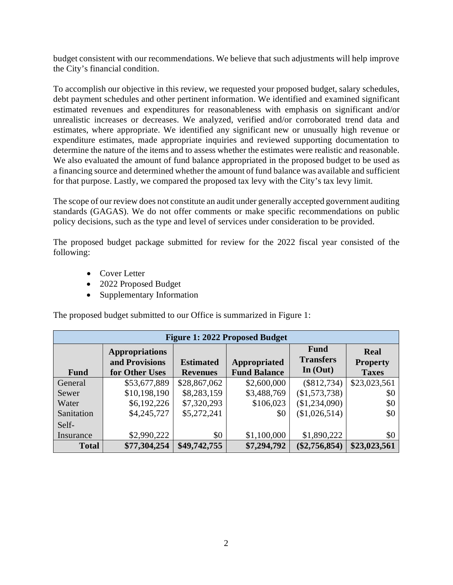budget consistent with our recommendations. We believe that such adjustments will help improve the City's financial condition.

To accomplish our objective in this review, we requested your proposed budget, salary schedules, debt payment schedules and other pertinent information. We identified and examined significant estimated revenues and expenditures for reasonableness with emphasis on significant and/or unrealistic increases or decreases. We analyzed, verified and/or corroborated trend data and estimates, where appropriate. We identified any significant new or unusually high revenue or expenditure estimates, made appropriate inquiries and reviewed supporting documentation to determine the nature of the items and to assess whether the estimates were realistic and reasonable. We also evaluated the amount of fund balance appropriated in the proposed budget to be used as a financing source and determined whether the amount of fund balance was available and sufficient for that purpose. Lastly, we compared the proposed tax levy with the City's tax levy limit.

The scope of our review does not constitute an audit under generally accepted government auditing standards (GAGAS). We do not offer comments or make specific recommendations on public policy decisions, such as the type and level of services under consideration to be provided.

The proposed budget package submitted for review for the 2022 fiscal year consisted of the following:

- Cover Letter
- 2022 Proposed Budget
- Supplementary Information

The proposed budget submitted to our Office is summarized in Figure 1:

| <b>Figure 1: 2022 Proposed Budget</b> |                                                           |                                     |                                     |                                               |                                         |  |  |
|---------------------------------------|-----------------------------------------------------------|-------------------------------------|-------------------------------------|-----------------------------------------------|-----------------------------------------|--|--|
| <b>Fund</b>                           | <b>Appropriations</b><br>and Provisions<br>for Other Uses | <b>Estimated</b><br><b>Revenues</b> | Appropriated<br><b>Fund Balance</b> | <b>Fund</b><br><b>Transfers</b><br>In $(Out)$ | Real<br><b>Property</b><br><b>Taxes</b> |  |  |
| General                               | \$53,677,889                                              | \$28,867,062                        | \$2,600,000                         | $(\$812,734)$                                 | \$23,023,561                            |  |  |
| Sewer                                 | \$10,198,190                                              | \$8,283,159                         | \$3,488,769                         | (\$1,573,738)                                 | \$0                                     |  |  |
| Water                                 | \$6,192,226                                               | \$7,320,293                         | \$106,023                           | (\$1,234,090)                                 | \$0                                     |  |  |
| Sanitation                            | \$4,245,727                                               | \$5,272,241                         | \$0                                 | (\$1,026,514)                                 | \$0                                     |  |  |
| Self-                                 |                                                           |                                     |                                     |                                               |                                         |  |  |
| Insurance                             | \$2,990,222                                               | \$0                                 | \$1,100,000                         | \$1,890,222                                   | \$0                                     |  |  |
| <b>Total</b>                          | \$77,304,254                                              | \$49,742,755                        | \$7,294,792                         | $(\$2,756,854)$                               | \$23,023,561                            |  |  |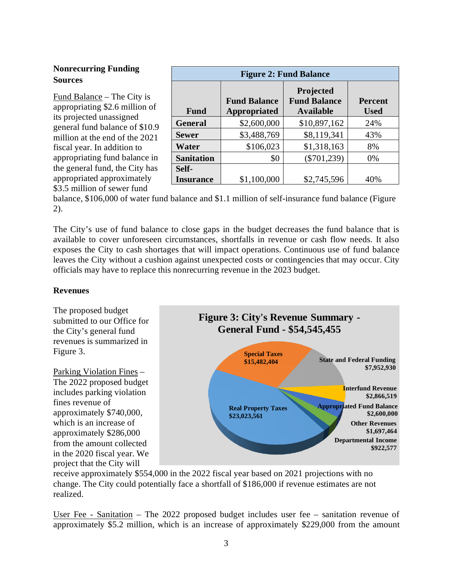# **Nonrecurring Funding Sources**

Fund Balance – The City is appropriating \$2.6 million of its projected unassigned general fund balance of \$10.9 million at the end of the 2021 fiscal year. In addition to appropriating fund balance in the general fund, the City has appropriated approximately \$3.5 million of sewer fund

| <b>Figure 2: Fund Balance</b> |                     |                                  |                |  |  |  |
|-------------------------------|---------------------|----------------------------------|----------------|--|--|--|
|                               | <b>Fund Balance</b> | Projected<br><b>Fund Balance</b> | <b>Percent</b> |  |  |  |
| <b>Fund</b>                   | <b>Appropriated</b> | <b>Available</b>                 | <b>Used</b>    |  |  |  |
| <b>General</b>                | \$2,600,000         | \$10,897,162                     | 24%            |  |  |  |
| <b>Sewer</b>                  | \$3,488,769         | \$8,119,341                      | 43%            |  |  |  |
| Water                         | \$106,023           | \$1,318,163                      | 8%             |  |  |  |
| <b>Sanitation</b>             | \$0                 | $(\$701,239)$                    | 0%             |  |  |  |
| Self-                         |                     |                                  |                |  |  |  |
| <b>Insurance</b>              | \$1,100,000         | \$2,745,596                      | 40%            |  |  |  |

balance, \$106,000 of water fund balance and \$1.1 million of self-insurance fund balance (Figure 2).

The City's use of fund balance to close gaps in the budget decreases the fund balance that is available to cover unforeseen circumstances, shortfalls in revenue or cash flow needs. It also exposes the City to cash shortages that will impact operations. Continuous use of fund balance leaves the City without a cushion against unexpected costs or contingencies that may occur. City officials may have to replace this nonrecurring revenue in the 2023 budget.

## **Revenues**

The proposed budget submitted to our Office for the City's general fund revenues is summarized in Figure 3.

Parking Violation Fines – The 2022 proposed budget includes parking violation fines revenue of approximately \$740,000, which is an increase of approximately \$286,000 from the amount collected in the 2020 fiscal year. We project that the City will



receive approximately \$554,000 in the 2022 fiscal year based on 2021 projections with no change. The City could potentially face a shortfall of \$186,000 if revenue estimates are not realized.

User Fee - Sanitation – The 2022 proposed budget includes user fee – sanitation revenue of approximately \$5.2 million, which is an increase of approximately \$229,000 from the amount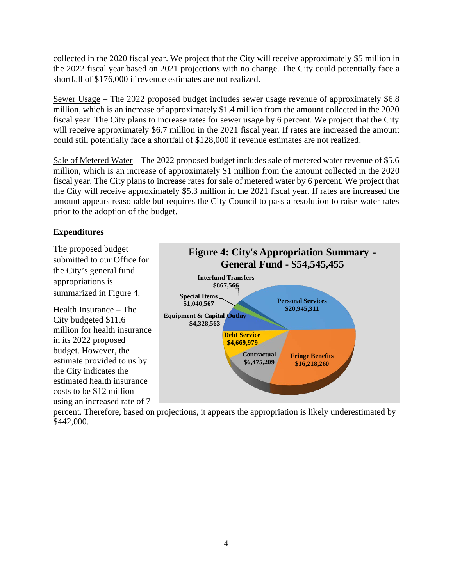collected in the 2020 fiscal year. We project that the City will receive approximately \$5 million in the 2022 fiscal year based on 2021 projections with no change. The City could potentially face a shortfall of \$176,000 if revenue estimates are not realized.

Sewer Usage – The 2022 proposed budget includes sewer usage revenue of approximately \$6.8 million, which is an increase of approximately \$1.4 million from the amount collected in the 2020 fiscal year. The City plans to increase rates for sewer usage by 6 percent. We project that the City will receive approximately \$6.7 million in the 2021 fiscal year. If rates are increased the amount could still potentially face a shortfall of \$128,000 if revenue estimates are not realized.

Sale of Metered Water – The 2022 proposed budget includes sale of metered water revenue of \$5.6 million, which is an increase of approximately \$1 million from the amount collected in the 2020 fiscal year. The City plans to increase rates for sale of metered water by 6 percent. We project that the City will receive approximately \$5.3 million in the 2021 fiscal year. If rates are increased the amount appears reasonable but requires the City Council to pass a resolution to raise water rates prior to the adoption of the budget.

## **Expenditures**

The proposed budget submitted to our Office for the City's general fund appropriations is summarized in Figure 4.

Health Insurance – The City budgeted \$11.6 million for health insurance in its 2022 proposed budget. However, the estimate provided to us by the City indicates the estimated health insurance costs to be \$12 million using an increased rate of 7



percent. Therefore, based on projections, it appears the appropriation is likely underestimated by \$442,000.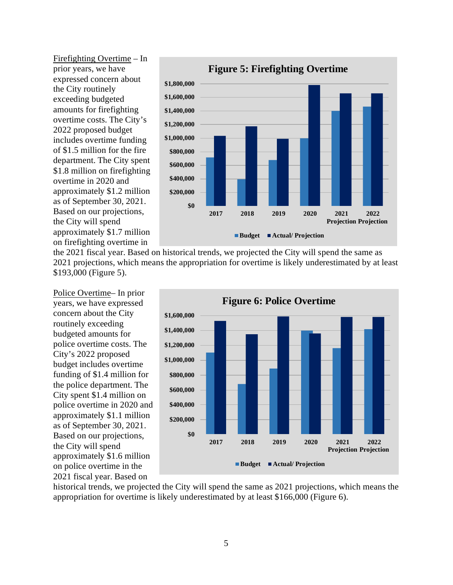Firefighting Overtime – In prior years, we have expressed concern about the City routinely exceeding budgeted amounts for firefighting overtime costs. The City's 2022 proposed budget includes overtime funding of \$1.5 million for the fire department. The City spent \$1.8 million on firefighting overtime in 2020 and approximately \$1.2 million as of September 30, 2021. Based on our projections, the City will spend approximately \$1.7 million on firefighting overtime in



the 2021 fiscal year. Based on historical trends, we projected the City will spend the same as 2021 projections, which means the appropriation for overtime is likely underestimated by at least \$193,000 (Figure 5).

Police Overtime– In prior years, we have expressed concern about the City routinely exceeding budgeted amounts for police overtime costs. The City's 2022 proposed budget includes overtime funding of \$1.4 million for the police department. The City spent \$1.4 million on police overtime in 2020 and approximately \$1.1 million as of September 30, 2021. Based on our projections, the City will spend approximately \$1.6 million on police overtime in the 2021 fiscal year. Based on



historical trends, we projected the City will spend the same as 2021 projections, which means the appropriation for overtime is likely underestimated by at least \$166,000 (Figure 6).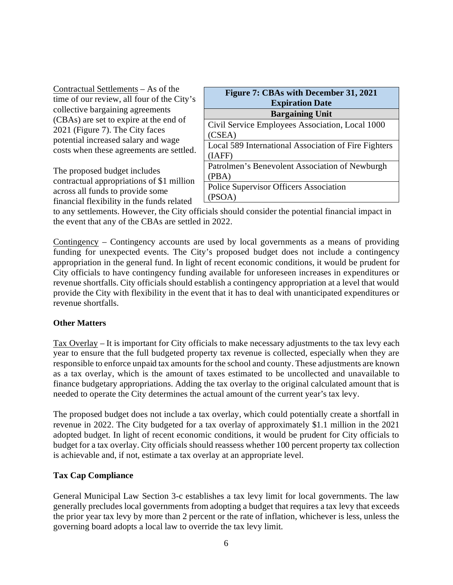The proposed budget includes contractual appropriations of \$1 million across all funds to provide some financial flexibility in the funds related

| Figure 7: CBAs with December 31, 2021                |  |  |  |  |
|------------------------------------------------------|--|--|--|--|
| <b>Expiration Date</b>                               |  |  |  |  |
| <b>Bargaining Unit</b>                               |  |  |  |  |
| Civil Service Employees Association, Local 1000      |  |  |  |  |
| (CSEA)                                               |  |  |  |  |
| Local 589 International Association of Fire Fighters |  |  |  |  |
| (IAFF)                                               |  |  |  |  |
| Patrolmen's Benevolent Association of Newburgh       |  |  |  |  |
| (PBA)                                                |  |  |  |  |
| <b>Police Supervisor Officers Association</b>        |  |  |  |  |
| (PS)<br>OA)                                          |  |  |  |  |

to any settlements. However, the City officials should consider the potential financial impact in the event that any of the CBAs are settled in 2022.

Contingency – Contingency accounts are used by local governments as a means of providing funding for unexpected events. The City's proposed budget does not include a contingency appropriation in the general fund. In light of recent economic conditions, it would be prudent for City officials to have contingency funding available for unforeseen increases in expenditures or revenue shortfalls. City officials should establish a contingency appropriation at a level that would provide the City with flexibility in the event that it has to deal with unanticipated expenditures or revenue shortfalls.

#### **Other Matters**

Tax Overlay – It is important for City officials to make necessary adjustments to the tax levy each year to ensure that the full budgeted property tax revenue is collected, especially when they are responsible to enforce unpaid tax amounts for the school and county. These adjustments are known as a tax overlay, which is the amount of taxes estimated to be uncollected and unavailable to finance budgetary appropriations. Adding the tax overlay to the original calculated amount that is needed to operate the City determines the actual amount of the current year's tax levy.

The proposed budget does not include a tax overlay, which could potentially create a shortfall in revenue in 2022. The City budgeted for a tax overlay of approximately \$1.1 million in the 2021 adopted budget. In light of recent economic conditions, it would be prudent for City officials to budget for a tax overlay. City officials should reassess whether 100 percent property tax collection is achievable and, if not, estimate a tax overlay at an appropriate level.

## **Tax Cap Compliance**

General Municipal Law Section 3-c establishes a tax levy limit for local governments. The law generally precludes local governments from adopting a budget that requires a tax levy that exceeds the prior year tax levy by more than 2 percent or the rate of inflation, whichever is less, unless the governing board adopts a local law to override the tax levy limit.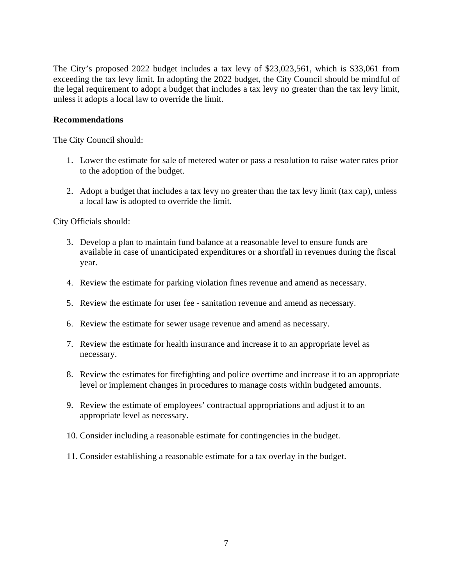The City's proposed 2022 budget includes a tax levy of \$23,023,561, which is \$33,061 from exceeding the tax levy limit. In adopting the 2022 budget, the City Council should be mindful of the legal requirement to adopt a budget that includes a tax levy no greater than the tax levy limit, unless it adopts a local law to override the limit.

### **Recommendations**

The City Council should:

- 1. Lower the estimate for sale of metered water or pass a resolution to raise water rates prior to the adoption of the budget.
- 2. Adopt a budget that includes a tax levy no greater than the tax levy limit (tax cap), unless a local law is adopted to override the limit.

City Officials should:

- 3. Develop a plan to maintain fund balance at a reasonable level to ensure funds are available in case of unanticipated expenditures or a shortfall in revenues during the fiscal year.
- 4. Review the estimate for parking violation fines revenue and amend as necessary.
- 5. Review the estimate for user fee sanitation revenue and amend as necessary.
- 6. Review the estimate for sewer usage revenue and amend as necessary.
- 7. Review the estimate for health insurance and increase it to an appropriate level as necessary.
- 8. Review the estimates for firefighting and police overtime and increase it to an appropriate level or implement changes in procedures to manage costs within budgeted amounts.
- 9. Review the estimate of employees' contractual appropriations and adjust it to an appropriate level as necessary.
- 10. Consider including a reasonable estimate for contingencies in the budget.
- 11. Consider establishing a reasonable estimate for a tax overlay in the budget.